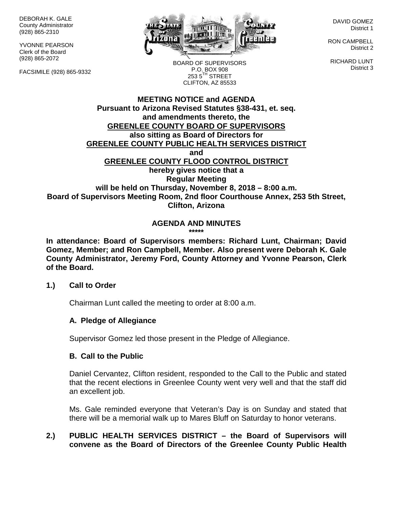DEBORAH K. GALE County Administrator (928) 865-2310

YVONNE PEARSON Clerk of the Board (928) 865-2072

FACSIMILE (928) 865-9332



DAVID GOMEZ District 1

RON CAMPBELL District 2

RICHARD LUNT District 3

BOARD OF SUPERVISORS P.O. BOX 908  $253.5$ <sup>TH</sup> STREET CLIFTON, AZ 85533

### **MEETING NOTICE and AGENDA Pursuant to Arizona Revised Statutes §38-431, et. seq. and amendments thereto, the GREENLEE COUNTY BOARD OF SUPERVISORS also sitting as Board of Directors for GREENLEE COUNTY PUBLIC HEALTH SERVICES DISTRICT and GREENLEE COUNTY FLOOD CONTROL DISTRICT hereby gives notice that a Regular Meeting will be held on Thursday, November 8, 2018 – 8:00 a.m. Board of Supervisors Meeting Room, 2nd floor Courthouse Annex, 253 5th Street, Clifton, Arizona**

#### **AGENDA AND MINUTES \*\*\*\*\***

**In attendance: Board of Supervisors members: Richard Lunt, Chairman; David Gomez, Member; and Ron Campbell, Member. Also present were Deborah K. Gale County Administrator, Jeremy Ford, County Attorney and Yvonne Pearson, Clerk of the Board.**

### **1.) Call to Order**

Chairman Lunt called the meeting to order at 8:00 a.m.

### **A. Pledge of Allegiance**

Supervisor Gomez led those present in the Pledge of Allegiance.

### **B. Call to the Public**

Daniel Cervantez, Clifton resident, responded to the Call to the Public and stated that the recent elections in Greenlee County went very well and that the staff did an excellent job.

Ms. Gale reminded everyone that Veteran's Day is on Sunday and stated that there will be a memorial walk up to Mares Bluff on Saturday to honor veterans.

# **2.) PUBLIC HEALTH SERVICES DISTRICT – the Board of Supervisors will convene as the Board of Directors of the Greenlee County Public Health**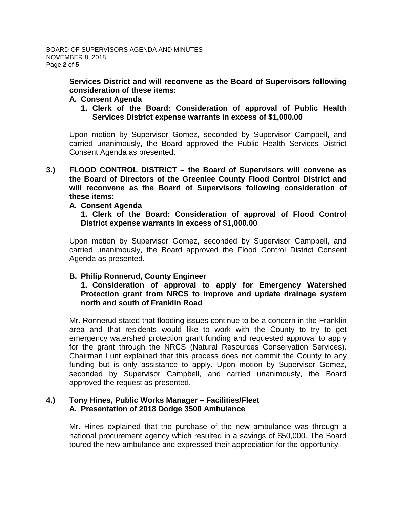**Services District and will reconvene as the Board of Supervisors following consideration of these items:**

#### **A. Consent Agenda**

**1. Clerk of the Board: Consideration of approval of Public Health Services District expense warrants in excess of \$1,000.00**

Upon motion by Supervisor Gomez, seconded by Supervisor Campbell, and carried unanimously, the Board approved the Public Health Services District Consent Agenda as presented.

**3.) FLOOD CONTROL DISTRICT – the Board of Supervisors will convene as the Board of Directors of the Greenlee County Flood Control District and will reconvene as the Board of Supervisors following consideration of these items:**

#### **A. Consent Agenda**

**1. Clerk of the Board: Consideration of approval of Flood Control District expense warrants in excess of \$1,000.0**0

Upon motion by Supervisor Gomez, seconded by Supervisor Campbell, and carried unanimously, the Board approved the Flood Control District Consent Agenda as presented.

### **B. Philip Ronnerud, County Engineer**

**1. Consideration of approval to apply for Emergency Watershed Protection grant from NRCS to improve and update drainage system north and south of Franklin Road**

Mr. Ronnerud stated that flooding issues continue to be a concern in the Franklin area and that residents would like to work with the County to try to get emergency watershed protection grant funding and requested approval to apply for the grant through the NRCS (Natural Resources Conservation Services). Chairman Lunt explained that this process does not commit the County to any funding but is only assistance to apply. Upon motion by Supervisor Gomez, seconded by Supervisor Campbell, and carried unanimously, the Board approved the request as presented.

### **4.) Tony Hines, Public Works Manager – Facilities/Fleet A. Presentation of 2018 Dodge 3500 Ambulance**

Mr. Hines explained that the purchase of the new ambulance was through a national procurement agency which resulted in a savings of \$50,000. The Board toured the new ambulance and expressed their appreciation for the opportunity.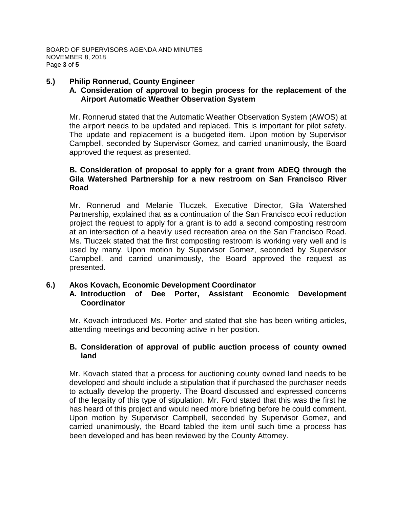# **5.) Philip Ronnerud, County Engineer**

# **A. Consideration of approval to begin process for the replacement of the Airport Automatic Weather Observation System**

Mr. Ronnerud stated that the Automatic Weather Observation System (AWOS) at the airport needs to be updated and replaced. This is important for pilot safety. The update and replacement is a budgeted item. Upon motion by Supervisor Campbell, seconded by Supervisor Gomez, and carried unanimously, the Board approved the request as presented.

### **B. Consideration of proposal to apply for a grant from ADEQ through the Gila Watershed Partnership for a new restroom on San Francisco River Road**

Mr. Ronnerud and Melanie Tluczek, Executive Director, Gila Watershed Partnership, explained that as a continuation of the San Francisco ecoli reduction project the request to apply for a grant is to add a second composting restroom at an intersection of a heavily used recreation area on the San Francisco Road. Ms. Tluczek stated that the first composting restroom is working very well and is used by many. Upon motion by Supervisor Gomez, seconded by Supervisor Campbell, and carried unanimously, the Board approved the request as presented.

### **6.) Akos Kovach, Economic Development Coordinator**

### **A. Introduction of Dee Porter, Assistant Economic Development Coordinator**

Mr. Kovach introduced Ms. Porter and stated that she has been writing articles, attending meetings and becoming active in her position.

### **B. Consideration of approval of public auction process of county owned land**

Mr. Kovach stated that a process for auctioning county owned land needs to be developed and should include a stipulation that if purchased the purchaser needs to actually develop the property. The Board discussed and expressed concerns of the legality of this type of stipulation. Mr. Ford stated that this was the first he has heard of this project and would need more briefing before he could comment. Upon motion by Supervisor Campbell, seconded by Supervisor Gomez, and carried unanimously, the Board tabled the item until such time a process has been developed and has been reviewed by the County Attorney.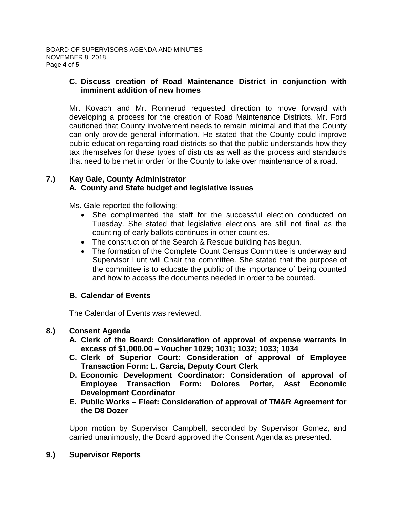### **C. Discuss creation of Road Maintenance District in conjunction with imminent addition of new homes**

Mr. Kovach and Mr. Ronnerud requested direction to move forward with developing a process for the creation of Road Maintenance Districts. Mr. Ford cautioned that County involvement needs to remain minimal and that the County can only provide general information. He stated that the County could improve public education regarding road districts so that the public understands how they tax themselves for these types of districts as well as the process and standards that need to be met in order for the County to take over maintenance of a road.

# **7.) Kay Gale, County Administrator A. County and State budget and legislative issues**

Ms. Gale reported the following:

- She complimented the staff for the successful election conducted on Tuesday. She stated that legislative elections are still not final as the counting of early ballots continues in other counties.
- The construction of the Search & Rescue building has begun.
- The formation of the Complete Count Census Committee is underway and Supervisor Lunt will Chair the committee. She stated that the purpose of the committee is to educate the public of the importance of being counted and how to access the documents needed in order to be counted.

# **B. Calendar of Events**

The Calendar of Events was reviewed.

# **8.) Consent Agenda**

- **A. Clerk of the Board: Consideration of approval of expense warrants in excess of \$1,000.00 – Voucher 1029; 1031; 1032; 1033; 1034**
- **C. Clerk of Superior Court: Consideration of approval of Employee Transaction Form: L. Garcia, Deputy Court Clerk**
- **D. Economic Development Coordinator: Consideration of approval of Employee Transaction Form: Dolores Porter, Asst Economic Development Coordinator**
- **E. Public Works – Fleet: Consideration of approval of TM&R Agreement for the D8 Dozer**

Upon motion by Supervisor Campbell, seconded by Supervisor Gomez, and carried unanimously, the Board approved the Consent Agenda as presented.

### **9.) Supervisor Reports**